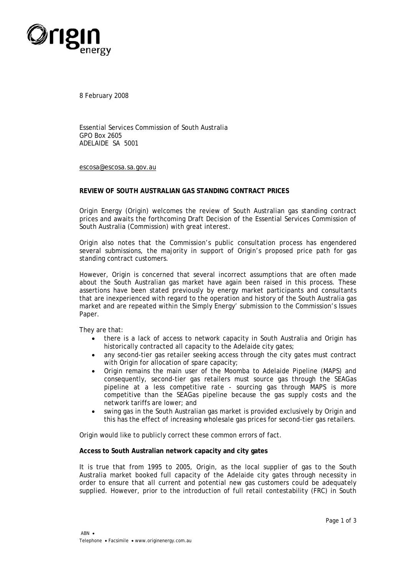

8 February 2008

Essential Services Commission of South Australia GPO Box 2605 ADELAIDE SA 5001

escosa@escosa.sa.gov.au

## **REVIEW OF SOUTH AUSTRALIAN GAS STANDING CONTRACT PRICES**

Origin Energy (Origin) welcomes the review of South Australian gas standing contract prices and awaits the forthcoming Draft Decision of the Essential Services Commission of South Australia (Commission) with great interest.

Origin also notes that the Commission's public consultation process has engendered several submissions, the majority in support of Origin's proposed price path for gas standing contract customers.

However, Origin is concerned that several incorrect assumptions that are often made about the South Australian gas market have again been raised in this process. These assertions have been stated previously by energy market participants and consultants that are inexperienced with regard to the operation and history of the South Australia gas market and are repeated within the Simply Energy' submission to the Commission's Issues Paper.

They are that:

- there is a lack of access to network capacity in South Australia and Origin has historically contracted all capacity to the Adelaide city gates;
- any second-tier gas retailer seeking access through the city gates must contract with Origin for allocation of spare capacity;
- Origin remains the main user of the Moomba to Adelaide Pipeline (MAPS) and consequently, second-tier gas retailers must source gas through the SEAGas pipeline at a less competitive rate - sourcing gas through MAPS is more competitive than the SEAGas pipeline because the gas supply costs and the network tariffs are lower; and
- swing gas in the South Australian gas market is provided exclusively by Origin and this has the effect of increasing wholesale gas prices for second-tier gas retailers.

Origin would like to publicly correct these common errors of fact.

## **Access to South Australian network capacity and city gates**

It is true that from 1995 to 2005, Origin, as the local supplier of gas to the South Australia market booked full capacity of the Adelaide city gates through necessity in order to ensure that all current and potential new gas customers could be adequately supplied. However, prior to the introduction of full retail contestability (FRC) in South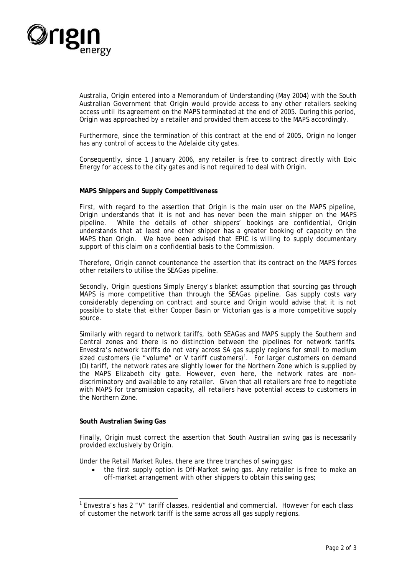

Australia, Origin entered into a Memorandum of Understanding (May 2004) with the South Australian Government that Origin would provide access to any other retailers seeking access until its agreement on the MAPS terminated at the end of 2005. During this period, Origin was approached by a retailer and provided them access to the MAPS accordingly.

Furthermore, since the termination of this contract at the end of 2005, Origin no longer has any control of access to the Adelaide city gates.

Consequently, since 1 January 2006, any retailer is free to contract directly with Epic Energy for access to the city gates and is not required to deal with Origin.

## **MAPS Shippers and Supply Competitiveness**

First, with regard to the assertion that Origin is the main user on the MAPS pipeline, Origin understands that it is not and has never been the main shipper on the MAPS pipeline. While the details of other shippers' bookings are confidential, Origin understands that at least one other shipper has a greater booking of capacity on the MAPS than Origin. We have been advised that EPIC is willing to supply documentary support of this claim on a confidential basis to the Commission.

Therefore, Origin cannot countenance the assertion that its contract on the MAPS forces other retailers to utilise the SEAGas pipeline.

Secondly, Origin questions Simply Energy's blanket assumption that sourcing gas through MAPS is more competitive than through the SEAGas pipeline. Gas supply costs vary considerably depending on contract and source and Origin would advise that it is not possible to state that either Cooper Basin or Victorian gas is a more competitive supply source.

Similarly with regard to network tariffs, both SEAGas and MAPS supply the Southern and Central zones and there is no distinction between the pipelines for network tariffs. Envestra's network tariffs do not vary across SA gas supply regions for small to medium sized customers (ie "volume" or V tariff customers)<sup>1</sup>. For larger customers on demand (D) tariff, the network rates are slightly lower for the Northern Zone which is supplied by the MAPS Elizabeth city gate. However, even here, the network rates are nondiscriminatory and available to any retailer. Given that all retailers are free to negotiate with MAPS for transmission capacity, all retailers have potential access to customers in the Northern Zone.

## **South Australian Swing Gas**

-

Finally, Origin must correct the assertion that South Australian swing gas is necessarily provided exclusively by Origin.

Under the Retail Market Rules, there are three tranches of swing gas;

• the first supply option is Off-Market swing gas. Any retailer is free to make an off-market arrangement with other shippers to obtain this swing gas;

<sup>1</sup> Envestra's has 2 "V" tariff classes, residential and commercial. However for each class of customer the network tariff is the same across all gas supply regions.